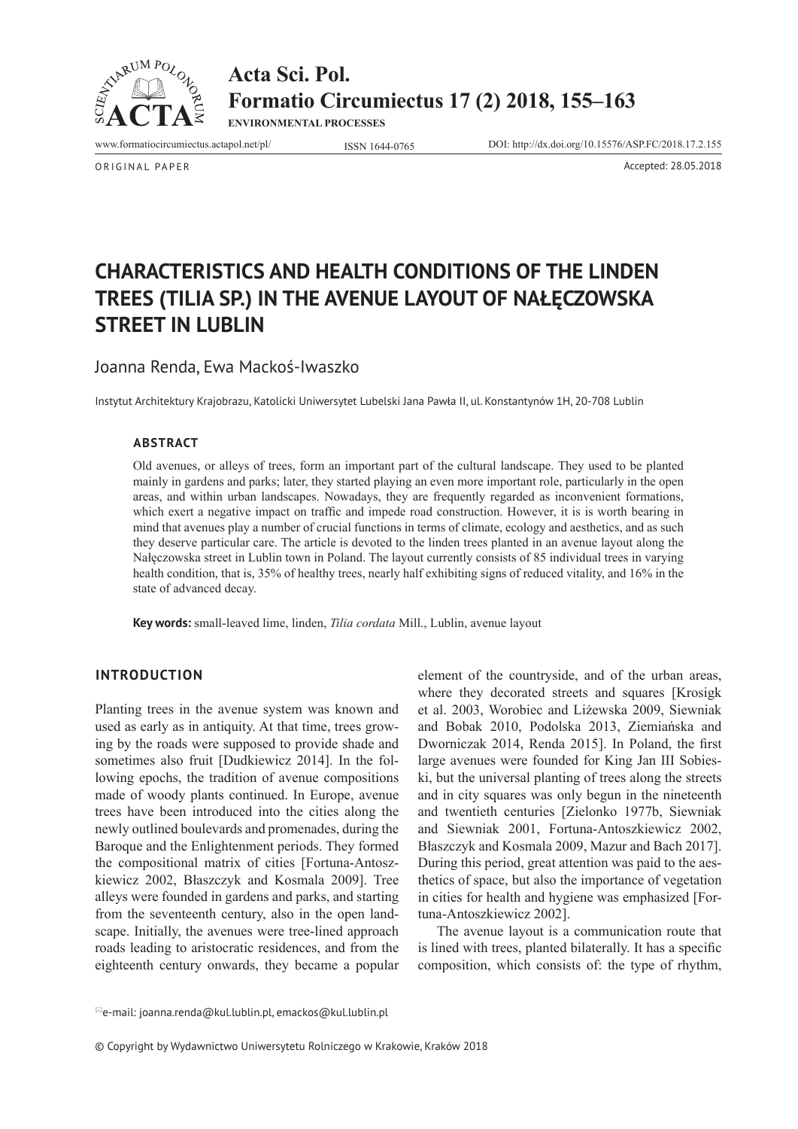

**Acta Sci. Pol. Formatio Circumiectus 17 (2) 2018, 155–163**

**ENVIRONMENTAL PROCESSES**

www.formatiocircumiectus.actapol.net/pl/ ISSN 1644-0765 DOI: http://dx.doi.org/10.15576/ASP.FC/2018.17.2.155

ORIGINAL PAPER Accepted: 28.05.2018

# **CHARACTERISTICS AND HEALTH CONDITIONS OF THE LINDEN TREES (TILIA SP.) IN THE AVENUE LAYOUT OF NAŁĘCZOWSKA STREET IN LUBLIN**

Joanna Renda, Ewa Mackoś-Iwaszko

Instytut Architektury Krajobrazu, Katolicki Uniwersytet Lubelski Jana Pawła II, ul. Konstantynów 1H, 20-708 Lublin

# **Abstract**

Old avenues, or alleys of trees, form an important part of the cultural landscape. They used to be planted mainly in gardens and parks; later, they started playing an even more important role, particularly in the open areas, and within urban landscapes. Nowadays, they are frequently regarded as inconvenient formations, which exert a negative impact on traffic and impede road construction. However, it is is worth bearing in mind that avenues play a number of crucial functions in terms of climate, ecology and aesthetics, and as such they deserve particular care. The article is devoted to the linden trees planted in an avenue layout along the Nałęczowska street in Lublin town in Poland. The layout currently consists of 85 individual trees in varying health condition, that is, 35% of healthy trees, nearly half exhibiting signs of reduced vitality, and 16% in the state of advanced decay.

**Key words:** small-leaved lime, linden, *Tilia cordata* Mill., Lublin, avenue layout

#### **INTRODUCTION**

Planting trees in the avenue system was known and used as early as in antiquity. At that time, trees growing by the roads were supposed to provide shade and sometimes also fruit [Dudkiewicz 2014]. In the following epochs, the tradition of avenue compositions made of woody plants continued. In Europe, avenue trees have been introduced into the cities along the newly outlined boulevards and promenades, during the Baroque and the Enlightenment periods. They formed the compositional matrix of cities [Fortuna-Antoszkiewicz 2002, Błaszczyk and Kosmala 2009]. Tree alleys were founded in gardens and parks, and starting from the seventeenth century, also in the open landscape. Initially, the avenues were tree-lined approach roads leading to aristocratic residences, and from the eighteenth century onwards, they became a popular

element of the countryside, and of the urban areas, where they decorated streets and squares [Krosigk et al. 2003, Worobiec and Liżewska 2009, Siewniak and Bobak 2010, Podolska 2013, Ziemiańska and Dworniczak 2014, Renda 2015]. In Poland, the first large avenues were founded for King Jan III Sobieski, but the universal planting of trees along the streets and in city squares was only begun in the nineteenth and twentieth centuries [Zielonko 1977b, Siewniak and Siewniak 2001, Fortuna-Antoszkiewicz 2002, Błaszczyk and Kosmala 2009, Mazur and Bach 2017]. During this period, great attention was paid to the aesthetics of space, but also the importance of vegetation in cities for health and hygiene was emphasized [Fortuna-Antoszkiewicz 2002].

The avenue layout is a communication route that is lined with trees, planted bilaterally. It has a specific composition, which consists of: the type of rhythm,

© Copyright by Wydawnictwo Uniwersytetu Rolniczego w Krakowie, Kraków 2018

 $^{\boxtimes}$ e-mail: joanna.renda@kul.lublin.pl, emackos@kul.lublin.pl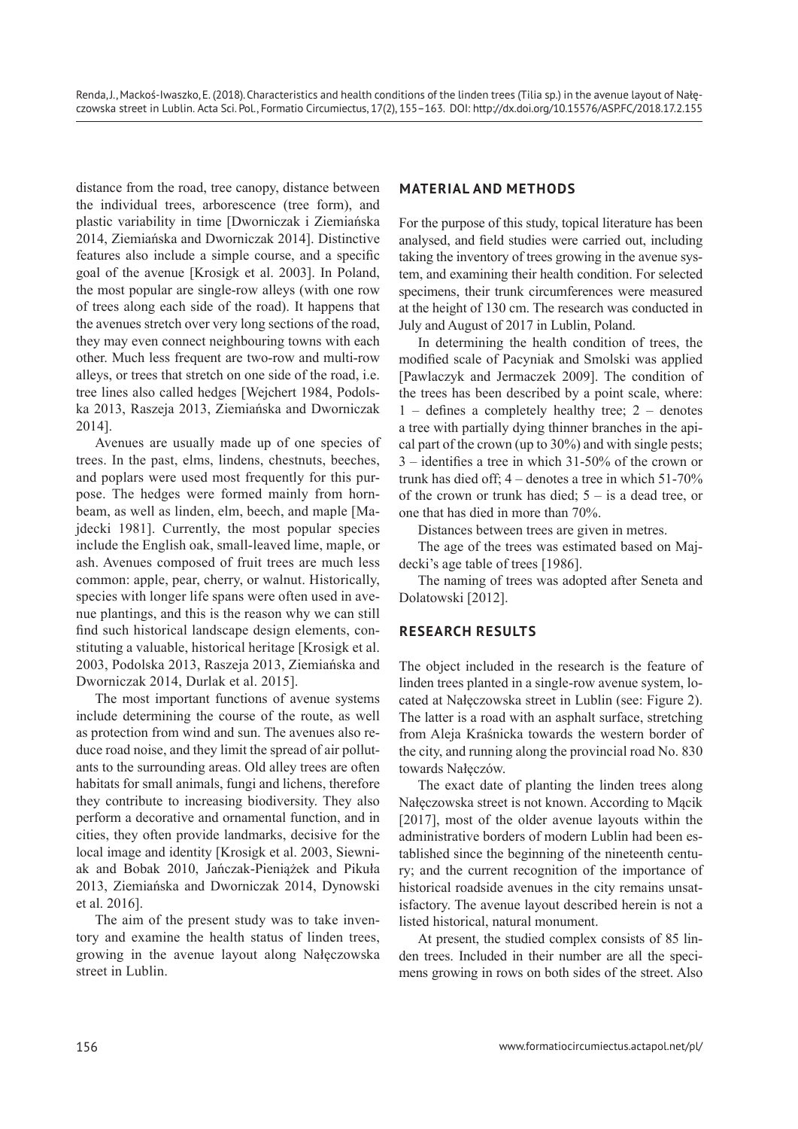distance from the road, tree canopy, distance between the individual trees, arborescence (tree form), and plastic variability in time [Dworniczak i Ziemiańska 2014, Ziemiańska and Dworniczak 2014]. Distinctive features also include a simple course, and a specific goal of the avenue [Krosigk et al. 2003]. In Poland, the most popular are single-row alleys (with one row of trees along each side of the road). It happens that the avenues stretch over very long sections of the road, they may even connect neighbouring towns with each other. Much less frequent are two-row and multi-row alleys, or trees that stretch on one side of the road, i.e. tree lines also called hedges [Wejchert 1984, Podolska 2013, Raszeja 2013, Ziemiańska and Dworniczak 2014].

Avenues are usually made up of one species of trees. In the past, elms, lindens, chestnuts, beeches, and poplars were used most frequently for this purpose. The hedges were formed mainly from hornbeam, as well as linden, elm, beech, and maple [Majdecki 1981]. Currently, the most popular species include the English oak, small-leaved lime, maple, or ash. Avenues composed of fruit trees are much less common: apple, pear, cherry, or walnut. Historically, species with longer life spans were often used in avenue plantings, and this is the reason why we can still find such historical landscape design elements, constituting a valuable, historical heritage [Krosigk et al. 2003, Podolska 2013, Raszeja 2013, Ziemiańska and Dworniczak 2014, Durlak et al. 2015].

The most important functions of avenue systems include determining the course of the route, as well as protection from wind and sun. The avenues also reduce road noise, and they limit the spread of air pollutants to the surrounding areas. Old alley trees are often habitats for small animals, fungi and lichens, therefore they contribute to increasing biodiversity. They also perform a decorative and ornamental function, and in cities, they often provide landmarks, decisive for the local image and identity [Krosigk et al. 2003, Siewniak and Bobak 2010, Jańczak-Pieniążek and Pikuła 2013, Ziemiańska and Dworniczak 2014, Dynowski et al. 2016].

The aim of the present study was to take inventory and examine the health status of linden trees, growing in the avenue layout along Nałęczowska street in Lublin.

## **MATERIAL AND METHODS**

For the purpose of this study, topical literature has been analysed, and field studies were carried out, including taking the inventory of trees growing in the avenue system, and examining their health condition. For selected specimens, their trunk circumferences were measured at the height of 130 cm. The research was conducted in July and August of 2017 in Lublin, Poland.

In determining the health condition of trees, the modified scale of Pacyniak and Smolski was applied [Pawlaczyk and Jermaczek 2009]. The condition of the trees has been described by a point scale, where: 1 – defines a completely healthy tree; 2 – denotes a tree with partially dying thinner branches in the apical part of the crown (up to 30%) and with single pests; 3 – identifies a tree in which 31-50% of the crown or trunk has died off; 4 – denotes a tree in which 51-70% of the crown or trunk has died;  $5 -$  is a dead tree, or one that has died in more than 70%.

Distances between trees are given in metres.

The age of the trees was estimated based on Majdecki's age table of trees [1986].

The naming of trees was adopted after Seneta and Dolatowski [2012].

#### **RESEARCH RESULTS**

The object included in the research is the feature of linden trees planted in a single-row avenue system, located at Nałęczowska street in Lublin (see: Figure 2). The latter is a road with an asphalt surface, stretching from Aleja Kraśnicka towards the western border of the city, and running along the provincial road No. 830 towards Nałęczów.

The exact date of planting the linden trees along Nałęczowska street is not known. According to Mącik [2017], most of the older avenue layouts within the administrative borders of modern Lublin had been established since the beginning of the nineteenth century; and the current recognition of the importance of historical roadside avenues in the city remains unsatisfactory. The avenue layout described herein is not a listed historical, natural monument.

At present, the studied complex consists of 85 linden trees. Included in their number are all the specimens growing in rows on both sides of the street. Also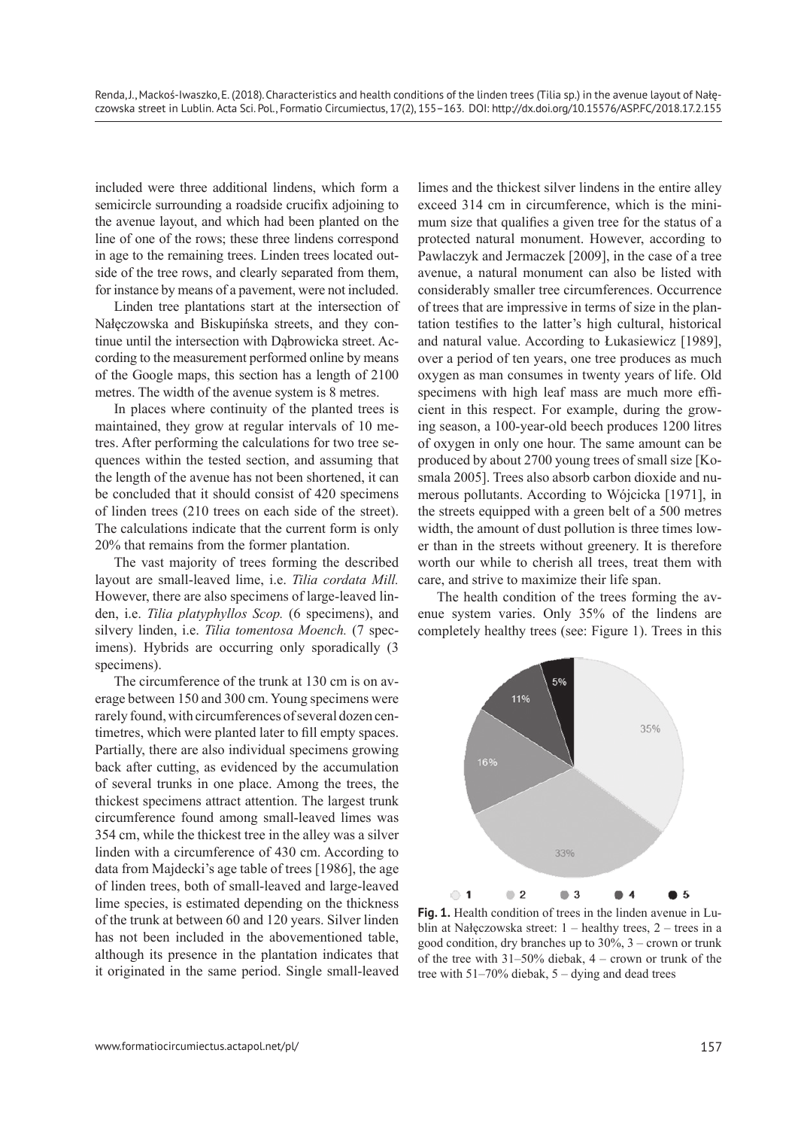included were three additional lindens, which form a semicircle surrounding a roadside crucifix adjoining to the avenue layout, and which had been planted on the line of one of the rows; these three lindens correspond in age to the remaining trees. Linden trees located outside of the tree rows, and clearly separated from them, for instance by means of a pavement, were not included.

Linden tree plantations start at the intersection of Nałęczowska and Biskupińska streets, and they continue until the intersection with Dąbrowicka street. According to the measurement performed online by means of the Google maps, this section has a length of 2100 metres. The width of the avenue system is 8 metres.

In places where continuity of the planted trees is maintained, they grow at regular intervals of 10 metres. After performing the calculations for two tree sequences within the tested section, and assuming that the length of the avenue has not been shortened, it can be concluded that it should consist of 420 specimens of linden trees (210 trees on each side of the street). The calculations indicate that the current form is only 20% that remains from the former plantation.

The vast majority of trees forming the described layout are small-leaved lime, i.e. *Tilia cordata Mill.* However, there are also specimens of large-leaved linden, i.e. *Tilia platyphyllos Scop.* (6 specimens), and silvery linden, i.e. *Tilia tomentosa Moench.* (7 specimens). Hybrids are occurring only sporadically (3 specimens).

The circumference of the trunk at 130 cm is on average between 150 and 300 cm. Young specimens were rarely found, with circumferences of several dozen centimetres, which were planted later to fill empty spaces. Partially, there are also individual specimens growing back after cutting, as evidenced by the accumulation of several trunks in one place. Among the trees, the thickest specimens attract attention. The largest trunk circumference found among small-leaved limes was 354 cm, while the thickest tree in the alley was a silver linden with a circumference of 430 cm. According to data from Majdecki's age table of trees [1986], the age of linden trees, both of small-leaved and large-leaved lime species, is estimated depending on the thickness of the trunk at between 60 and 120 years. Silver linden has not been included in the abovementioned table, although its presence in the plantation indicates that it originated in the same period. Single small-leaved

limes and the thickest silver lindens in the entire alley exceed 314 cm in circumference, which is the minimum size that qualifies a given tree for the status of a protected natural monument. However, according to Pawlaczyk and Jermaczek [2009], in the case of a tree avenue, a natural monument can also be listed with considerably smaller tree circumferences. Occurrence of trees that are impressive in terms of size in the plantation testifies to the latter's high cultural, historical and natural value. According to Łukasiewicz [1989], over a period of ten years, one tree produces as much oxygen as man consumes in twenty years of life. Old specimens with high leaf mass are much more efficient in this respect. For example, during the growing season, a 100-year-old beech produces 1200 litres of oxygen in only one hour. The same amount can be produced by about 2700 young trees of small size [Kosmala 2005]. Trees also absorb carbon dioxide and numerous pollutants. According to Wójcicka [1971], in the streets equipped with a green belt of a 500 metres width, the amount of dust pollution is three times lower than in the streets without greenery. It is therefore worth our while to cherish all trees, treat them with care, and strive to maximize their life span.

The health condition of the trees forming the avenue system varies. Only 35% of the lindens are completely healthy trees (see: Figure 1). Trees in this



**Fig. 1.** Health condition of trees in the linden avenue in Lublin at Nałęczowska street: 1 – healthy trees, 2 – trees in a good condition, dry branches up to 30%, 3 – crown or trunk of the tree with 31–50% diebak, 4 – crown or trunk of the tree with  $51-70\%$  diebak,  $5 -$  dying and dead trees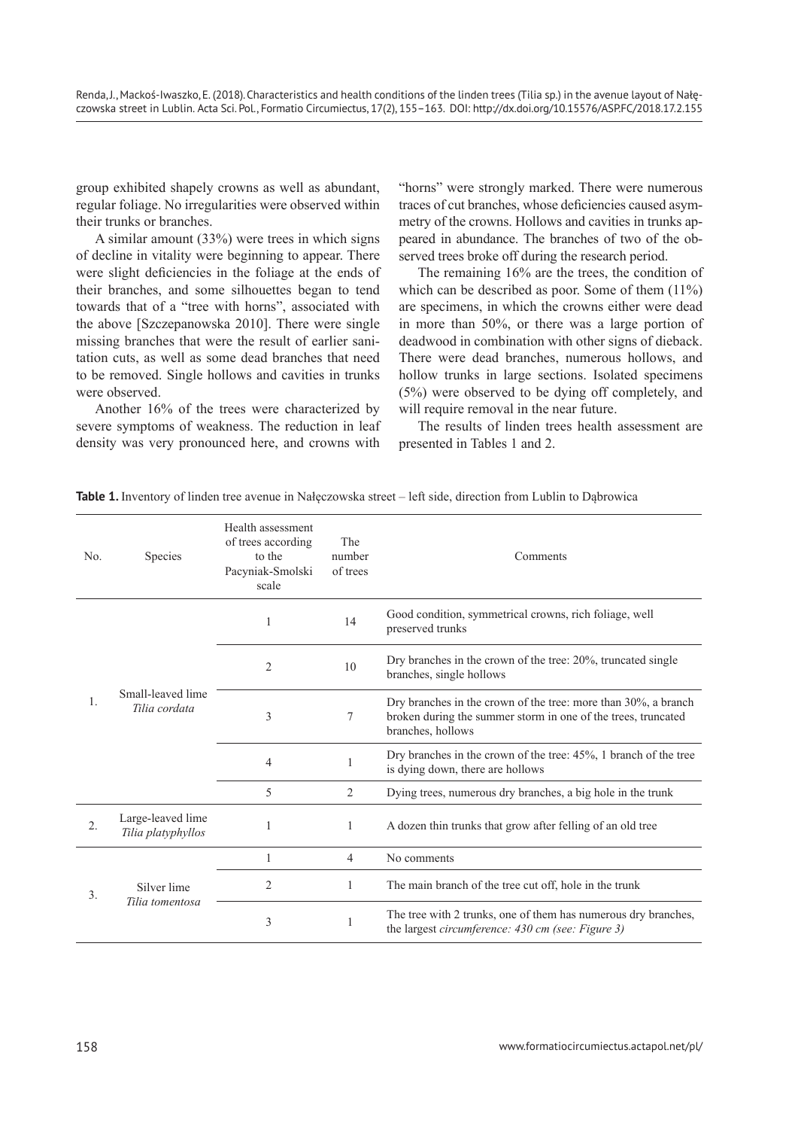group exhibited shapely crowns as well as abundant, regular foliage. No irregularities were observed within their trunks or branches.

A similar amount (33%) were trees in which signs of decline in vitality were beginning to appear. There were slight deficiencies in the foliage at the ends of their branches, and some silhouettes began to tend towards that of a "tree with horns", associated with the above [Szczepanowska 2010]. There were single missing branches that were the result of earlier sanitation cuts, as well as some dead branches that need to be removed. Single hollows and cavities in trunks were observed.

Another 16% of the trees were characterized by severe symptoms of weakness. The reduction in leaf density was very pronounced here, and crowns with

"horns" were strongly marked. There were numerous traces of cut branches, whose deficiencies caused asymmetry of the crowns. Hollows and cavities in trunks appeared in abundance. The branches of two of the observed trees broke off during the research period.

The remaining 16% are the trees, the condition of which can be described as poor. Some of them  $(11\%)$ are specimens, in which the crowns either were dead in more than 50%, or there was a large portion of deadwood in combination with other signs of dieback. There were dead branches, numerous hollows, and hollow trunks in large sections. Isolated specimens (5%) were observed to be dying off completely, and will require removal in the near future.

The results of linden trees health assessment are presented in Tables 1 and 2.

|  | <b>Table 1.</b> Inventory of linden tree avenue in Nałęczowska street – left side, direction from Lublin to Dabrowica |  |  |  |  |  |
|--|-----------------------------------------------------------------------------------------------------------------------|--|--|--|--|--|
|  |                                                                                                                       |  |  |  |  |  |

| No. | <b>Species</b>                          | Health assessment<br>of trees according<br>to the<br>Pacyniak-Smolski<br>scale | The<br>number<br>of trees | Comments                                                                                                                                             |                                                                                                      |
|-----|-----------------------------------------|--------------------------------------------------------------------------------|---------------------------|------------------------------------------------------------------------------------------------------------------------------------------------------|------------------------------------------------------------------------------------------------------|
| 1.  |                                         | 1                                                                              | 14                        | Good condition, symmetrical crowns, rich foliage, well<br>preserved trunks                                                                           |                                                                                                      |
|     | Small-leaved lime<br>Tilia cordata      | $\overline{2}$                                                                 | 10                        | Dry branches in the crown of the tree: 20%, truncated single<br>branches, single hollows                                                             |                                                                                                      |
|     |                                         | 3                                                                              | $\tau$                    | Dry branches in the crown of the tree: more than 30%, a branch<br>broken during the summer storm in one of the trees, truncated<br>branches, hollows |                                                                                                      |
|     |                                         |                                                                                | $\overline{4}$            | 1                                                                                                                                                    | Dry branches in the crown of the tree: 45%, 1 branch of the tree<br>is dying down, there are hollows |
|     |                                         |                                                                                |                           | 5                                                                                                                                                    | 2                                                                                                    |
| 2.  | Large-leaved lime<br>Tilia platyphyllos |                                                                                | 1                         | A dozen thin trunks that grow after felling of an old tree                                                                                           |                                                                                                      |
| 3.  |                                         | 1                                                                              | $\overline{4}$            | No comments                                                                                                                                          |                                                                                                      |
|     | Silver lime                             | $\overline{2}$                                                                 | 1                         | The main branch of the tree cut off, hole in the trunk                                                                                               |                                                                                                      |
|     | Tilia tomentosa                         | 3                                                                              | 1                         | The tree with 2 trunks, one of them has numerous dry branches,<br>the largest circumference: 430 cm (see: Figure 3)                                  |                                                                                                      |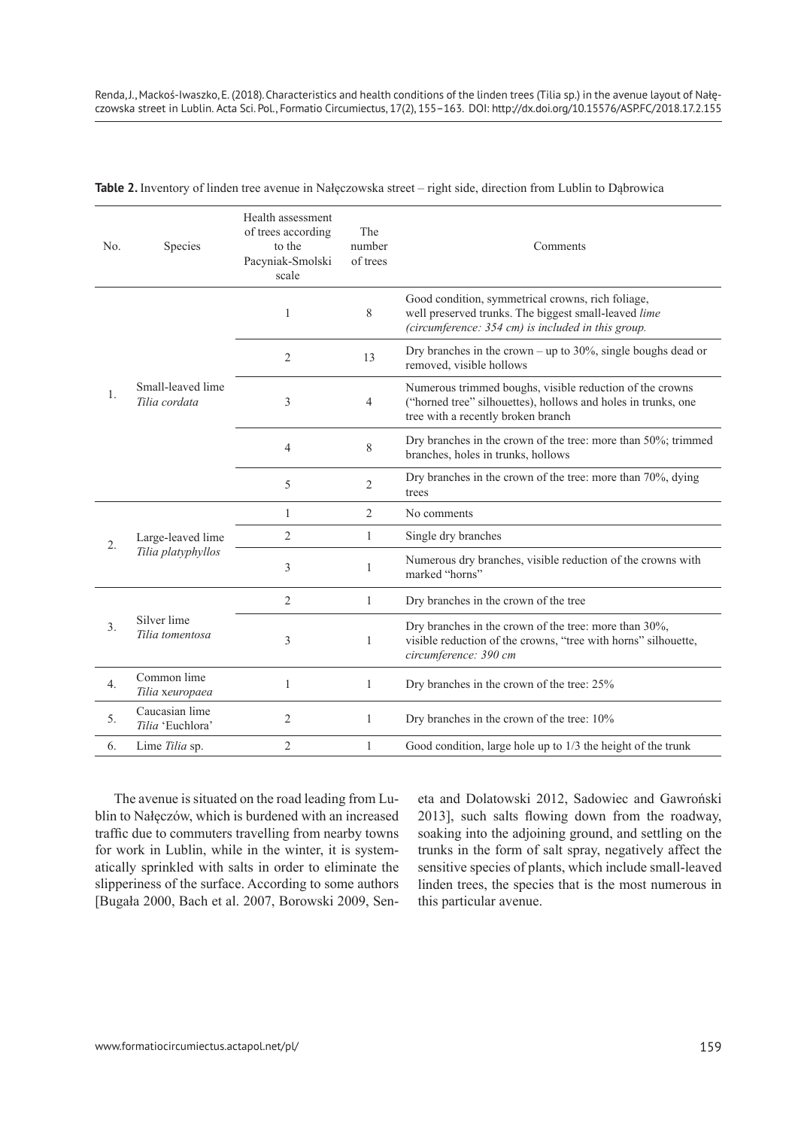| No. | Species                                 | Health assessment<br>of trees according<br>to the<br>Pacyniak-Smolski<br>scale | The<br>number<br>of trees | Comments                                                                                                                                                        |
|-----|-----------------------------------------|--------------------------------------------------------------------------------|---------------------------|-----------------------------------------------------------------------------------------------------------------------------------------------------------------|
|     |                                         | 1                                                                              | 8                         | Good condition, symmetrical crowns, rich foliage,<br>well preserved trunks. The biggest small-leaved lime<br>(circumference: 354 cm) is included in this group. |
| 1.  | Small-leaved lime<br>Tilia cordata      | $\overline{2}$                                                                 | 13                        | Dry branches in the crown – up to $30\%$ , single boughs dead or<br>removed, visible hollows                                                                    |
|     |                                         | 3                                                                              | $\overline{4}$            | Numerous trimmed boughs, visible reduction of the crowns<br>("horned tree" silhouettes), hollows and holes in trunks, one<br>tree with a recently broken branch |
|     |                                         | 4                                                                              | 8                         | Dry branches in the crown of the tree: more than 50%; trimmed<br>branches, holes in trunks, hollows                                                             |
|     |                                         | 5                                                                              | $\overline{2}$            | Dry branches in the crown of the tree: more than 70%, dying<br>trees                                                                                            |
|     |                                         | $\mathbf{1}$                                                                   | $\overline{2}$            | No comments                                                                                                                                                     |
| 2.  | Large-leaved lime<br>Tilia platyphyllos | $\overline{2}$                                                                 | 1                         | Single dry branches                                                                                                                                             |
|     |                                         | 3                                                                              | 1                         | Numerous dry branches, visible reduction of the crowns with<br>marked "horns"                                                                                   |
| 3.  |                                         | $\overline{2}$                                                                 | 1                         | Dry branches in the crown of the tree                                                                                                                           |
|     | Silver lime<br>Tilia tomentosa          | 3                                                                              | 1                         | Dry branches in the crown of the tree: more than 30%,<br>visible reduction of the crowns, "tree with horns" silhouette,<br>circumference: 390 cm                |
| 4.  | Common lime<br>Tilia xeuropaea          | $\mathbf{1}$                                                                   | 1                         | Dry branches in the crown of the tree: 25%                                                                                                                      |
| 5.  | Caucasian lime<br>Tilia 'Euchlora'      | 2                                                                              | 1                         | Dry branches in the crown of the tree: 10%                                                                                                                      |
| 6.  | Lime Tilia sp.                          | $\overline{2}$                                                                 | 1                         | Good condition, large hole up to 1/3 the height of the trunk                                                                                                    |

**Table 2.** Inventory of linden tree avenue in Nałęczowska street – right side, direction from Lublin to Dąbrowica

The avenue is situated on the road leading from Lublin to Nałęczów, which is burdened with an increased traffic due to commuters travelling from nearby towns for work in Lublin, while in the winter, it is systematically sprinkled with salts in order to eliminate the slipperiness of the surface. According to some authors [Bugała 2000, Bach et al. 2007, Borowski 2009, Seneta and Dolatowski 2012, Sadowiec and Gawroński 2013], such salts flowing down from the roadway, soaking into the adjoining ground, and settling on the trunks in the form of salt spray, negatively affect the sensitive species of plants, which include small-leaved linden trees, the species that is the most numerous in this particular avenue.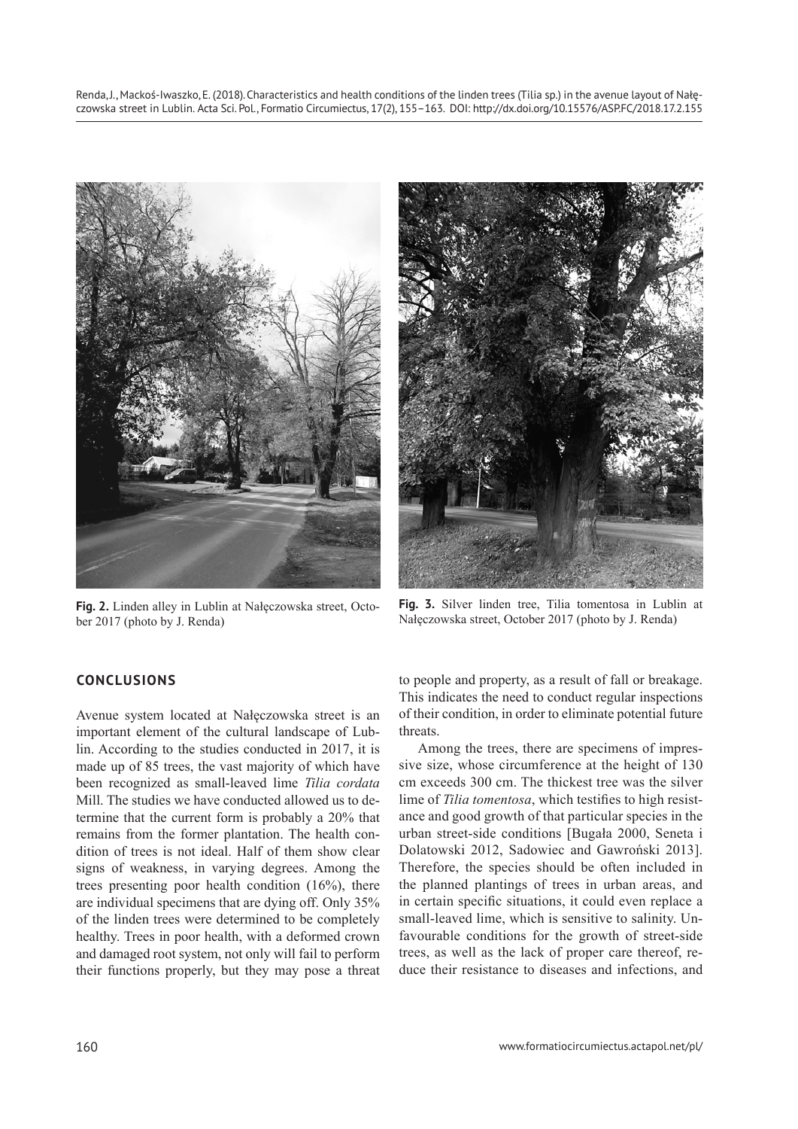

**Fig. 2.** Linden alley in Lublin at Nałęczowska street, October 2017 (photo by J. Renda)



**Fig. 3.** Silver linden tree, Tilia tomentosa in Lublin at Nałęczowska street, October 2017 (photo by J. Renda)

# **CONCLUSIONS**

Avenue system located at Nałęczowska street is an important element of the cultural landscape of Lublin. According to the studies conducted in 2017, it is made up of 85 trees, the vast majority of which have been recognized as small-leaved lime *Tilia cordata*  Mill. The studies we have conducted allowed us to determine that the current form is probably a 20% that remains from the former plantation. The health condition of trees is not ideal. Half of them show clear signs of weakness, in varying degrees. Among the trees presenting poor health condition (16%), there are individual specimens that are dying off. Only 35% of the linden trees were determined to be completely healthy. Trees in poor health, with a deformed crown and damaged root system, not only will fail to perform their functions properly, but they may pose a threat to people and property, as a result of fall or breakage. This indicates the need to conduct regular inspections of their condition, in order to eliminate potential future threats.

Among the trees, there are specimens of impressive size, whose circumference at the height of 130 cm exceeds 300 cm. The thickest tree was the silver lime of *Tilia tomentosa*, which testifies to high resistance and good growth of that particular species in the urban street-side conditions [Bugała 2000, Seneta i Dolatowski 2012, Sadowiec and Gawroński 2013]. Therefore, the species should be often included in the planned plantings of trees in urban areas, and in certain specific situations, it could even replace a small-leaved lime, which is sensitive to salinity. Unfavourable conditions for the growth of street-side trees, as well as the lack of proper care thereof, reduce their resistance to diseases and infections, and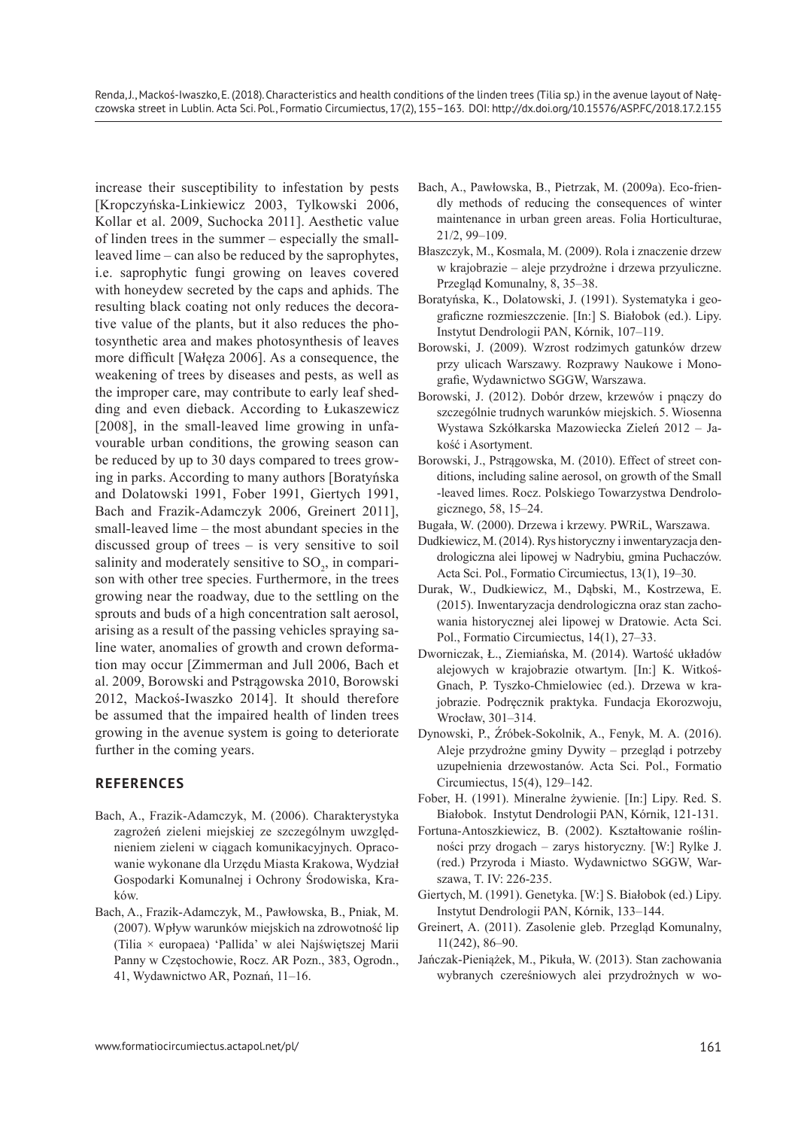increase their susceptibility to infestation by pests [Kropczyńska-Linkiewicz 2003, Tylkowski 2006, Kollar et al. 2009, Suchocka 2011]. Aesthetic value of linden trees in the summer – especially the smallleaved lime – can also be reduced by the saprophytes, i.e. saprophytic fungi growing on leaves covered with honeydew secreted by the caps and aphids. The resulting black coating not only reduces the decorative value of the plants, but it also reduces the photosynthetic area and makes photosynthesis of leaves more difficult [Wałęza 2006]. As a consequence, the weakening of trees by diseases and pests, as well as the improper care, may contribute to early leaf shedding and even dieback. According to Łukaszewicz [2008], in the small-leaved lime growing in unfavourable urban conditions, the growing season can be reduced by up to 30 days compared to trees growing in parks. According to many authors [Boratyńska and Dolatowski 1991, Fober 1991, Giertych 1991, Bach and Frazik-Adamczyk 2006, Greinert 2011], small-leaved lime – the most abundant species in the discussed group of trees – is very sensitive to soil salinity and moderately sensitive to  $SO_2$ , in comparison with other tree species. Furthermore, in the trees growing near the roadway, due to the settling on the sprouts and buds of a high concentration salt aerosol, arising as a result of the passing vehicles spraying saline water, anomalies of growth and crown deformation may occur [Zimmerman and Jull 2006, Bach et al. 2009, Borowski and Pstrągowska 2010, Borowski 2012, Mackoś-Iwaszko 2014]. It should therefore be assumed that the impaired health of linden trees growing in the avenue system is going to deteriorate further in the coming years.

#### **REFERENCES**

- Bach, A., Frazik-Adamczyk, M. (2006). Charakterystyka zagrożeń zieleni miejskiej ze szczególnym uwzględnieniem zieleni w ciągach komunikacyjnych. Opracowanie wykonane dla Urzędu Miasta Krakowa, Wydział Gospodarki Komunalnej i Ochrony Środowiska, Kraków.
- Bach, A., Frazik-Adamczyk, M., Pawłowska, B., Pniak, M. (2007). Wpływ warunków miejskich na zdrowotność lip (Tilia × europaea) 'Pallida' w alei Najświętszej Marii Panny w Częstochowie, Rocz. AR Pozn., 383, Ogrodn., 41, Wydawnictwo AR, Poznań, 11–16.
- Bach, A., Pawłowska, B., Pietrzak, M. (2009a). Eco-friendly methods of reducing the consequences of winter maintenance in urban green areas. Folia Horticulturae, 21/2, 99–109.
- Błaszczyk, M., Kosmala, M. (2009). Rola i znaczenie drzew w krajobrazie – aleje przydrożne i drzewa przyuliczne. Przegląd Komunalny, 8, 35–38.
- Boratyńska, K., Dolatowski, J. (1991). Systematyka i geograficzne rozmieszczenie. [In:] S. Białobok (ed.). Lipy. Instytut Dendrologii PAN, Kórnik, 107–119.
- Borowski, J. (2009). Wzrost rodzimych gatunków drzew przy ulicach Warszawy. Rozprawy Naukowe i Monografie, Wydawnictwo SGGW, Warszawa.
- Borowski, J. (2012). Dobór drzew, krzewów i pnączy do szczególnie trudnych warunków miejskich. 5. Wiosenna Wystawa Szkółkarska Mazowiecka Zieleń 2012 – Jakość i Asortyment.
- Borowski, J., Pstrągowska, M. (2010). Effect of street conditions, including saline aerosol, on growth of the Small -leaved limes. Rocz. Polskiego Towarzystwa Dendrologicznego, 58, 15–24.
- Bugała, W. (2000). Drzewa i krzewy. PWRiL, Warszawa.
- Dudkiewicz, M. (2014). Rys historyczny i inwentaryzacja dendrologiczna alei lipowej w Nadrybiu, gmina Puchaczów. Acta Sci. Pol., Formatio Circumiectus, 13(1), 19–30.
- Durak, W., Dudkiewicz, M., Dąbski, M., Kostrzewa, E. (2015). Inwentaryzacja dendrologiczna oraz stan zachowania historycznej alei lipowej w Dratowie. Acta Sci. Pol., Formatio Circumiectus, 14(1), 27–33.
- Dworniczak, Ł., Ziemiańska, M. (2014). Wartość układów alejowych w krajobrazie otwartym. [In:] K. Witkoś-Gnach, P. Tyszko-Chmielowiec (ed.). Drzewa w krajobrazie. Podręcznik praktyka. Fundacja Ekorozwoju, Wrocław, 301–314.
- Dynowski, P., Źróbek-Sokolnik, A., Fenyk, M. A. (2016). Aleje przydrożne gminy Dywity – przegląd i potrzeby uzupełnienia drzewostanów. Acta Sci. Pol., Formatio Circumiectus, 15(4), 129–142.
- Fober, H. (1991). Mineralne żywienie. [In:] Lipy. Red. S. Białobok. Instytut Dendrologii PAN, Kórnik, 121-131.
- Fortuna-Antoszkiewicz, B. (2002). Kształtowanie roślinności przy drogach – zarys historyczny. [W:] Rylke J. (red.) Przyroda i Miasto. Wydawnictwo SGGW, Warszawa, T. IV: 226-235.
- Giertych, M. (1991). Genetyka. [W:] S. Białobok (ed.) Lipy. Instytut Dendrologii PAN, Kórnik, 133–144.
- Greinert, A. (2011). Zasolenie gleb. Przegląd Komunalny, 11(242), 86–90.
- Jańczak-Pieniążek, M., Pikuła, W. (2013). Stan zachowania wybranych czereśniowych alei przydrożnych w wo-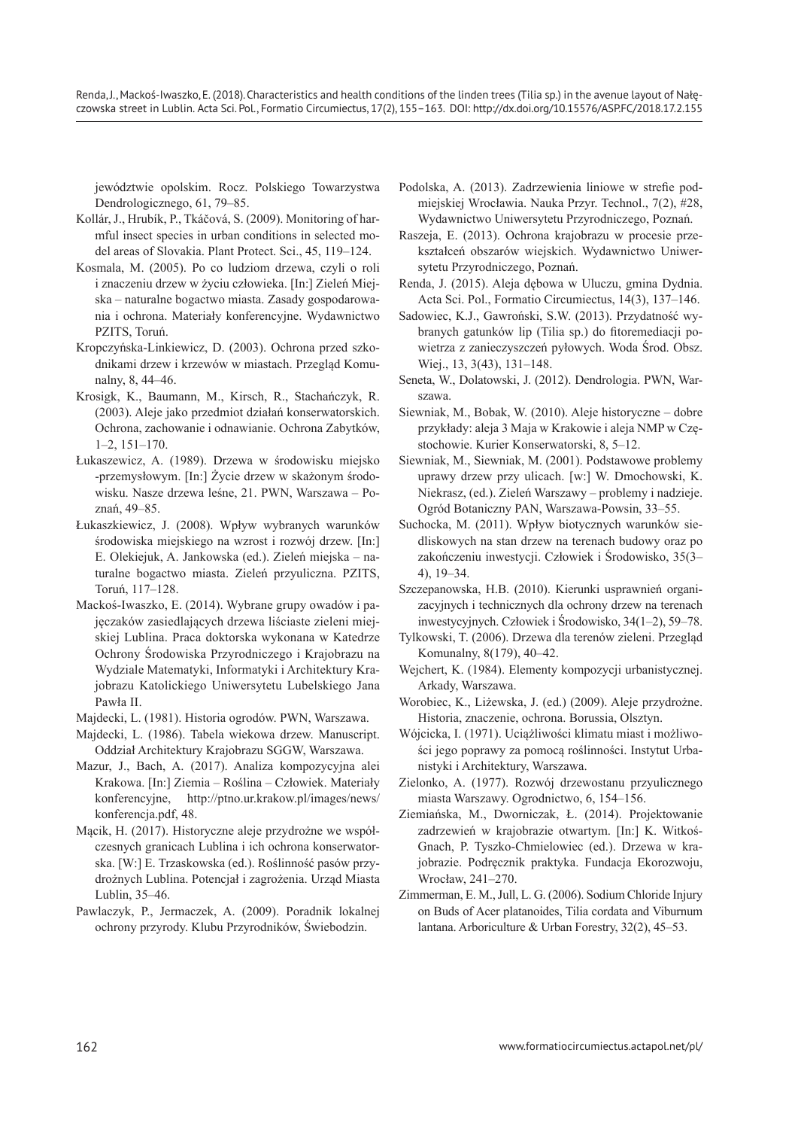Renda, J., Mackoś-Iwaszko, E. (2018). Characteristics and health conditions of the linden trees (Tilia sp.) in the avenue layout of Nałęczowska street in Lublin. Acta Sci. Pol., Formatio Circumiectus, 17(2), 155–163. DOI: http://dx.doi.org/10.15576/ASP.FC/2018.17.2.155

jewództwie opolskim. Rocz. Polskiego Towarzystwa Dendrologicznego, 61, 79–85.

- Kollár, J., Hrubík, P., Tkáčová, S. (2009). Monitoring of harmful insect species in urban conditions in selected model areas of Slovakia. Plant Protect. Sci., 45, 119–124.
- Kosmala, M. (2005). Po co ludziom drzewa, czyli o roli i znaczeniu drzew w życiu człowieka. [In:] Zieleń Miejska – naturalne bogactwo miasta. Zasady gospodarowania i ochrona. Materiały konferencyjne. Wydawnictwo PZITS, Toruń.
- Kropczyńska-Linkiewicz, D. (2003). Ochrona przed szkodnikami drzew i krzewów w miastach. Przegląd Komunalny, 8, 44–46.
- Krosigk, K., Baumann, M., Kirsch, R., Stachańczyk, R. (2003). Aleje jako przedmiot działań konserwatorskich. Ochrona, zachowanie i odnawianie. Ochrona Zabytków, 1–2, 151–170.
- Łukaszewicz, A. (1989). Drzewa w środowisku miejsko -przemysłowym. [In:] Życie drzew w skażonym środowisku. Nasze drzewa leśne, 21. PWN, Warszawa – Poznań, 49–85.
- Łukaszkiewicz, J. (2008). Wpływ wybranych warunków środowiska miejskiego na wzrost i rozwój drzew. [In:] E. Olekiejuk, A. Jankowska (ed.). Zieleń miejska – naturalne bogactwo miasta. Zieleń przyuliczna. PZITS, Toruń, 117–128.
- Mackoś-Iwaszko, E. (2014). Wybrane grupy owadów i pajęczaków zasiedlających drzewa liściaste zieleni miejskiej Lublina. Praca doktorska wykonana w Katedrze Ochrony Środowiska Przyrodniczego i Krajobrazu na Wydziale Matematyki, Informatyki i Architektury Krajobrazu Katolickiego Uniwersytetu Lubelskiego Jana Pawła II.
- Majdecki, L. (1981). Historia ogrodów. PWN, Warszawa.
- Majdecki, L. (1986). Tabela wiekowa drzew. Manuscript. Oddział Architektury Krajobrazu SGGW, Warszawa.
- Mazur, J., Bach, A. (2017). Analiza kompozycyjna alei Krakowa. [In:] Ziemia – Roślina – Człowiek. Materiały konferencyjne, http://ptno.ur.krakow.pl/images/news/ konferencja.pdf, 48.
- Mącik, H. (2017). Historyczne aleje przydrożne we współczesnych granicach Lublina i ich ochrona konserwatorska. [W:] E. Trzaskowska (ed.). Roślinność pasów przydrożnych Lublina. Potencjał i zagrożenia. Urząd Miasta Lublin, 35–46.
- Pawlaczyk, P., Jermaczek, A. (2009). Poradnik lokalnej ochrony przyrody. Klubu Przyrodników, Świebodzin.
- Podolska, A. (2013). Zadrzewienia liniowe w strefie podmiejskiej Wrocławia. Nauka Przyr. Technol., 7(2), #28, Wydawnictwo Uniwersytetu Przyrodniczego, Poznań.
- Raszeja, E. (2013). Ochrona krajobrazu w procesie przekształceń obszarów wiejskich. Wydawnictwo Uniwersytetu Przyrodniczego, Poznań.
- Renda, J. (2015). Aleja dębowa w Uluczu, gmina Dydnia. Acta Sci. Pol., Formatio Circumiectus, 14(3), 137–146.
- Sadowiec, K.J., Gawroński, S.W. (2013). Przydatność wybranych gatunków lip (Tilia sp.) do fitoremediacji powietrza z zanieczyszczeń pyłowych. Woda Środ. Obsz. Wiej., 13, 3(43), 131–148.
- Seneta, W., Dolatowski, J. (2012). Dendrologia. PWN, Warszawa.
- Siewniak, M., Bobak, W. (2010). Aleje historyczne dobre przykłady: aleja 3 Maja w Krakowie i aleja NMP w Częstochowie. Kurier Konserwatorski, 8, 5–12.
- Siewniak, M., Siewniak, M. (2001). Podstawowe problemy uprawy drzew przy ulicach. [w:] W. Dmochowski, K. Niekrasz, (ed.). Zieleń Warszawy – problemy i nadzieje. Ogród Botaniczny PAN, Warszawa-Powsin, 33–55.
- Suchocka, M. (2011). Wpływ biotycznych warunków siedliskowych na stan drzew na terenach budowy oraz po zakończeniu inwestycji. Człowiek i Środowisko, 35(3– 4), 19–34.
- Szczepanowska, H.B. (2010). Kierunki usprawnień organizacyjnych i technicznych dla ochrony drzew na terenach inwestycyjnych. Człowiek i Środowisko, 34(1–2), 59–78.
- Tylkowski, T. (2006). Drzewa dla terenów zieleni. Przegląd Komunalny, 8(179), 40–42.
- Wejchert, K. (1984). Elementy kompozycji urbanistycznej. Arkady, Warszawa.
- Worobiec, K., Liżewska, J. (ed.) (2009). Aleje przydrożne. Historia, znaczenie, ochrona. Borussia, Olsztyn.
- Wójcicka, I. (1971). Uciążliwości klimatu miast i możliwości jego poprawy za pomocą roślinności. Instytut Urbanistyki i Architektury, Warszawa.
- Zielonko, A. (1977). Rozwój drzewostanu przyulicznego miasta Warszawy. Ogrodnictwo, 6, 154–156.
- Ziemiańska, M., Dworniczak, Ł. (2014). Projektowanie zadrzewień w krajobrazie otwartym. [In:] K. Witkoś-Gnach, P. Tyszko-Chmielowiec (ed.). Drzewa w krajobrazie. Podręcznik praktyka. Fundacja Ekorozwoju, Wrocław, 241–270.
- Zimmerman, E. M., Jull, L. G. (2006). Sodium Chloride Injury on Buds of Acer platanoides, Tilia cordata and Viburnum lantana. Arboriculture & Urban Forestry, 32(2), 45–53.